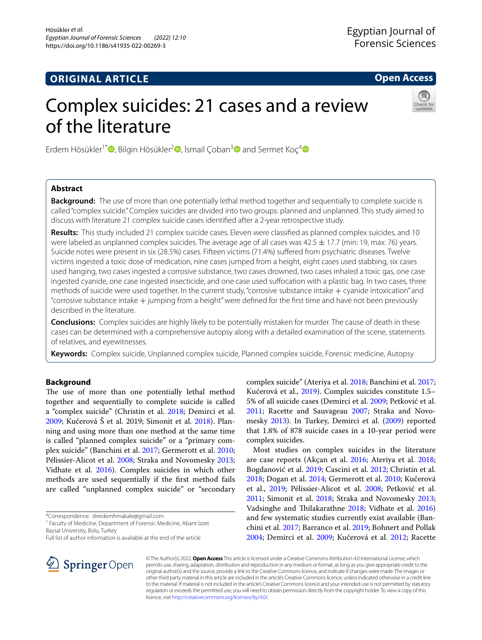## **ORIGINAL ARTICLE**

**Open Access**

# Complex suicides: 21 cases and a review of the literature



Erdem Hösükler<sup>1\*</sup> **D**[,](http://orcid.org/0000-0002-7736-748X) Bilgin Hösükler<sup>[2](https://orcid.org/0000-0002-6608-8637)</sup> **D**, İsmail Çoban<sup>[3](https://orcid.org/0000-0001-8154-180X)</sup> **D** and Sermet Koç<sup>[4](https://orcid.org/0000-0002-2030-0372)</sup> **D** 

## **Abstract**

**Background:** The use of more than one potentially lethal method together and sequentially to complete suicide is called "complex suicide." Complex suicides are divided into two groups: planned and unplanned. This study aimed to discuss with literature 21 complex suicide cases identifed after a 2-year retrospective study.

**Results:** This study included 21 complex suicide cases. Eleven were classifed as planned complex suicides, and 10 were labeled as unplanned complex suicides. The average age of all cases was  $42.5 \pm 17.7$  (min: 19, max: 76) years. Suicide notes were present in six (28.5%) cases. Fifteen victims (71.4%) sufered from psychiatric diseases. Twelve victims ingested a toxic dose of medication, nine cases jumped from a height, eight cases used stabbing, six cases used hanging, two cases ingested a corrosive substance, two cases drowned, two cases inhaled a toxic gas, one case ingested cyanide, one case ingested insecticide, and one case used sufocation with a plastic bag. In two cases, three methods of suicide were used together. In the current study, "corrosive substance intake  $+$  cyanide intoxication" and "corrosive substance intake + jumping from a height" were defned for the frst time and have not been previously described in the literature.

**Conclusions:** Complex suicides are highly likely to be potentially mistaken for murder. The cause of death in these cases can be determined with a comprehensive autopsy along with a detailed examination of the scene, statements of relatives, and eyewitnesses.

**Keywords:** Complex suicide, Unplanned complex suicide, Planned complex suicide, Forensic medicine, Autopsy

## **Background**

The use of more than one potentially lethal method together and sequentially to complete suicide is called a "complex suicide" (Christin et al. [2018;](#page-6-0) Demirci et al. [2009](#page-6-1); Kučerová Š et al. 2019; Simonit et al. [2018](#page-7-0)). Planning and using more than one method at the same time is called "planned complex suicide" or a "primary complex suicide" (Banchini et al. [2017](#page-6-2); Germerott et al. [2010](#page-7-1); Pélissier-Alicot et al. [2008](#page-7-2); Straka and Novomesky [2013](#page-7-3); Vidhate et al. [2016](#page-7-4)). Complex suicides in which other methods are used sequentially if the frst method fails are called "unplanned complex suicide" or "secondary

\*Correspondence: drerdemhmakale@gmail.com

<sup>1</sup> Faculty of Medicine, Department of Forensic Medicine, Abant İzzet Baysal University, Bolu, Turkey



Most studies on complex suicides in the literature are case reports (Akçan et al. [2016;](#page-6-4) Ateriya et al. [2018](#page-6-3); Bogdanović et al. [2019;](#page-6-5) Cascini et al. [2012;](#page-6-6) Christin et al. [2018](#page-6-0); Dogan et al. [2014](#page-6-7); Germerott et al. [2010](#page-7-1); Kučerová et al., [2019;](#page-7-5) Pélissier-Alicot et al. [2008](#page-7-2); Petković et al. [2011](#page-7-6); Simonit et al. [2018](#page-7-0); Straka and Novomesky [2013](#page-7-3); Vadsinghe and Thilakarathne [2018;](#page-7-8) Vidhate et al. [2016](#page-7-4)) and few systematic studies currently exist available (Banchini et al. [2017](#page-6-2); Barranco et al. [2019](#page-6-8); Bohnert and Pollak [2004](#page-6-9); Demirci et al. [2009;](#page-6-1) Kučerová et al. [2012](#page-7-9); Racette



© The Author(s) 2022. **Open Access** This article is licensed under a Creative Commons Attribution 4.0 International License, which permits use, sharing, adaptation, distribution and reproduction in any medium or format, as long as you give appropriate credit to the original author(s) and the source, provide a link to the Creative Commons licence, and indicate if changes were made. The images or other third party material in this article are included in the article's Creative Commons licence, unless indicated otherwise in a credit line to the material. If material is not included in the article's Creative Commons licence and your intended use is not permitted by statutory regulation or exceeds the permitted use, you will need to obtain permission directly from the copyright holder. To view a copy of this licence, visit [http://creativecommons.org/licenses/by/4.0/.](http://creativecommons.org/licenses/by/4.0/)

Full list of author information is available at the end of the article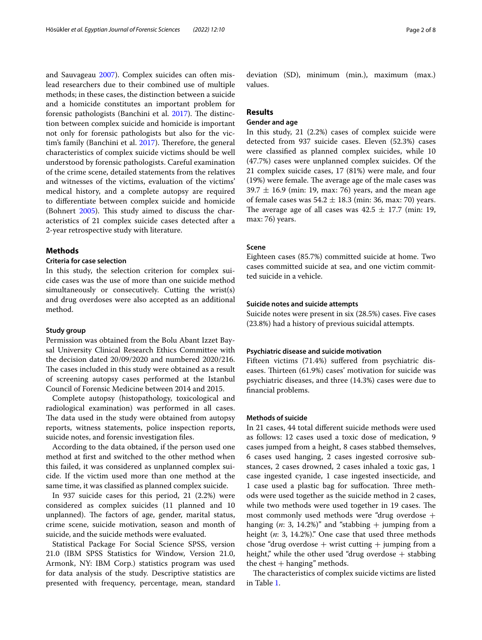and Sauvageau [2007](#page-7-7)). Complex suicides can often mislead researchers due to their combined use of multiple methods; in these cases, the distinction between a suicide and a homicide constitutes an important problem for forensic pathologists (Banchini et al. [2017](#page-6-2)). The distinction between complex suicide and homicide is important not only for forensic pathologists but also for the vic-tim's family (Banchini et al. [2017\)](#page-6-2). Therefore, the general characteristics of complex suicide victims should be well understood by forensic pathologists. Careful examination of the crime scene, detailed statements from the relatives and witnesses of the victims, evaluation of the victims' medical history, and a complete autopsy are required to diferentiate between complex suicide and homicide (Bohnert  $2005$ ). This study aimed to discuss the characteristics of 21 complex suicide cases detected after a 2-year retrospective study with literature.

#### **Methods**

## **Criteria for case selection**

In this study, the selection criterion for complex suicide cases was the use of more than one suicide method simultaneously or consecutively. Cutting the wrist(s) and drug overdoses were also accepted as an additional method.

## **Study group**

Permission was obtained from the Bolu Abant Izzet Baysal University Clinical Research Ethics Committee with the decision dated 20/09/2020 and numbered 2020/216. The cases included in this study were obtained as a result of screening autopsy cases performed at the Istanbul Council of Forensic Medicine between 2014 and 2015.

Complete autopsy (histopathology, toxicological and radiological examination) was performed in all cases. The data used in the study were obtained from autopsy reports, witness statements, police inspection reports, suicide notes, and forensic investigation fles.

According to the data obtained, if the person used one method at frst and switched to the other method when this failed, it was considered as unplanned complex suicide. If the victim used more than one method at the same time, it was classifed as planned complex suicide.

In 937 suicide cases for this period, 21 (2.2%) were considered as complex suicides (11 planned and 10 unplanned). The factors of age, gender, marital status, crime scene, suicide motivation, season and month of suicide, and the suicide methods were evaluated.

Statistical Package For Social Science SPSS, version 21.0 (IBM SPSS Statistics for Window, Version 21.0, Armonk, NY: IBM Corp.) statistics program was used for data analysis of the study. Descriptive statistics are presented with frequency, percentage, mean, standard deviation (SD), minimum (min.), maximum (max.) values.

## **Results**

## **Gender and age**

In this study, 21 (2.2%) cases of complex suicide were detected from 937 suicide cases. Eleven (52.3%) cases were classifed as planned complex suicides, while 10 (47.7%) cases were unplanned complex suicides. Of the 21 complex suicide cases, 17 (81%) were male, and four  $(19%)$  were female. The average age of the male cases was  $39.7 \pm 16.9$  (min: 19, max: 76) years, and the mean age of female cases was  $54.2 \pm 18.3$  (min: 36, max: 70) years. The average age of all cases was  $42.5 \pm 17.7$  (min: 19, max: 76) years.

## **Scene**

Eighteen cases (85.7%) committed suicide at home. Two cases committed suicide at sea, and one victim committed suicide in a vehicle.

#### **Suicide notes and suicide attempts**

Suicide notes were present in six (28.5%) cases. Five cases (23.8%) had a history of previous suicidal attempts.

#### **Psychiatric disease and suicide motivation**

Fifteen victims (71.4%) sufered from psychiatric diseases. Thirteen (61.9%) cases' motivation for suicide was psychiatric diseases, and three (14.3%) cases were due to fnancial problems.

## **Methods of suicide**

In 21 cases, 44 total diferent suicide methods were used as follows: 12 cases used a toxic dose of medication, 9 cases jumped from a height, 8 cases stabbed themselves, 6 cases used hanging, 2 cases ingested corrosive substances, 2 cases drowned, 2 cases inhaled a toxic gas, 1 case ingested cyanide, 1 case ingested insecticide, and 1 case used a plastic bag for suffocation. Three methods were used together as the suicide method in 2 cases, while two methods were used together in 19 cases. The most commonly used methods were "drug overdose  $+$ hanging  $(n: 3, 14.2\%)$ " and "stabbing  $+$  jumping from a height (*n*: 3, 14.2%)." One case that used three methods chose "drug overdose  $+$  wrist cutting  $+$  jumping from a height," while the other used "drug overdose  $+$  stabbing the chest  $+$  hanging" methods.

The characteristics of complex suicide victims are listed in Table [1.](#page-2-0)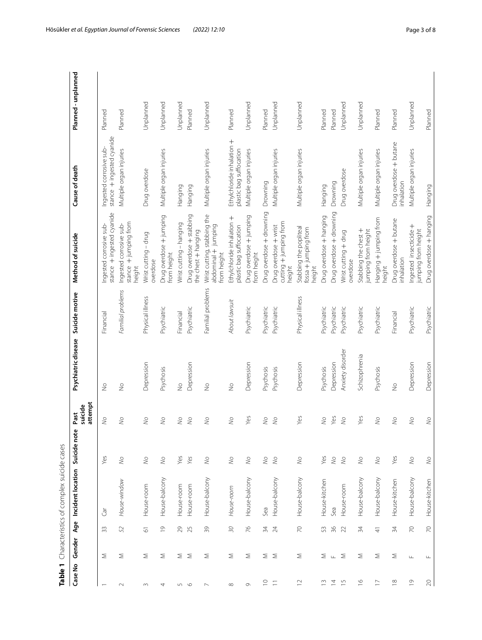<span id="page-2-0"></span>

| :<br>りすこう こうこうこうりょう サリュリー<br>١                              |
|-------------------------------------------------------------|
| ١                                                           |
| J<br>j<br>.<br>.<br>.<br>.<br>.<br>j<br>ï<br>$\mathfrak{g}$ |
|                                                             |
|                                                             |

| Table 1            |                           |                       | Characteristics of complex suicide cases |             |                            |                     |                   |                                                                   |                                                       |                     |
|--------------------|---------------------------|-----------------------|------------------------------------------|-------------|----------------------------|---------------------|-------------------|-------------------------------------------------------------------|-------------------------------------------------------|---------------------|
| Case No            | Gender                    | Age                   | Incident location                        | Suicide not | attempt<br>suicide<br>Past | Psychiatric disease | Suicide motive    | Method of suicide                                                 | Cause of death                                        | Planned - unplanned |
|                    | Σ                         | 33                    | ιě                                       | Yes         | $\lesssim$                 | $\frac{1}{2}$       | Financial         | stance + ingested cyanide<br>Ingested corrosive sub-              | stance + ingested cyanide<br>Ingested corrosive sub-  | Planned             |
|                    | Σ                         | 52                    | House-window                             | $\lesssim$  | $\gtrless$                 | $\frac{1}{2}$       | Familial problems | stance + jumping from<br>Ingested corrosive sub-<br>height        | Multiple organ injuries                               | Planned             |
|                    | Σ                         | $\overline{\circ}$    | House-room                               | $\lesssim$  | $\gtrless$                 | Depression          | Physical illness  | Wrist cutting - drug<br>overdose                                  | Drug overdose                                         | Unplanned           |
|                    | Σ                         | $\frac{\circ}{\circ}$ | House-balcony                            | $\lesssim$  | $\gtrless$                 | Psychosis           | Psychiatric       | Drug overdose + jumping<br>from height                            | Multiple organ injuries                               | Unplanned           |
|                    |                           | 29                    | House-room                               | Yes         | $\geqslant$                | $\frac{1}{2}$       | Financial         | Wrist cutting - hanging                                           | Hanging                                               | Unplanned           |
|                    | ∑ ≥                       | 25                    | House-room                               | Yes         | $\frac{1}{2}$              | Depression          | Psychiatric       | Drug overdose + stabbing<br>the chest + hanging                   | Hanging                                               | Planned             |
|                    | Σ                         | 39                    | House-balcony                            | $\lesssim$  | $\frac{1}{2}$              | $\frac{1}{2}$       | Familial problems | Wrist cutting, stabbing the<br>abdominal + jumping<br>from height | Multiple organ injuries                               | Unplanned           |
|                    | Σ                         | $\Im Q$               | House-room                               | $\lesssim$  | $\frac{1}{2}$              | $\frac{1}{2}$       | About lawsuit     | Ethylchloride inhalation +<br>plastic bag suffocation             | Ethylchloride inhalation +<br>plastic bag suffocation | Planned             |
| $\sigma$           | Σ                         | $\frac{1}{6}$         | House-balcony                            | $\lesssim$  | Yes                        | Depression          | Psychiatric       | Drug overdose + jumping<br>from height                            | Multiple organ injuries                               | Unplanned           |
| $\supseteq$        | Σ Σ                       | $\geqslant$           | Sea                                      | $\lesssim$  | $\gtrless$                 | Psychosis           | Psychiatric       | Drug overdose + drowning                                          | Drowning                                              | Planned             |
| $\equiv$           |                           | $\overline{24}$       | House-balcony                            | $\lesssim$  | $\geq$                     | Psychosis           | Psychiatric       | cutting + jumping from<br>Drug overdose + wrist<br>height         | Multiple organ injuries                               | Unplanned           |
| $\simeq$           | Σ                         | $\geq$                | House-balcony                            | $\lesssim$  | Yes                        | Depression          | Physical illness  | Stabbing the popliteal<br>fossa + jumping from<br>height          | Multiple organ injuries                               | Unplanned           |
| $\tilde{E}$        |                           | 53                    | House-kitchen                            | Yes         | $\geqslant$                | Psychosis           | Psychiatric       | Drug overdose + hanging                                           | Hanging                                               | Planned             |
| $\overline{4}$     | $\Sigma$ $\perp$ $\Sigma$ | 36                    | Sea                                      | $\lesssim$  | Yes                        | Depression          | Psychiatric       | Drug overdose + drowning                                          | Drowning                                              | Planned             |
| $\frac{1}{2}$      |                           | 22                    | House-room                               | $\lesssim$  | $\gtrless$                 | Anxiety disorder    | Psychiatric       | Wrist cutting + drug<br>overdose                                  | Drug overdose                                         | Unplanned           |
| $\frac{\infty}{2}$ | Σ                         | 34                    | House-balcony                            | $\lesssim$  | Yes                        | Schizophrenia       | Psychiatric       | Stabbing the chest +<br>jumping from height                       | Multiple organ injuries                               | Unplanned           |
| $\geq$             | Σ                         | $\frac{4}{5}$         | House-balcony                            | $\lesssim$  | $\geqslant$                | Psychosis           | Psychiatric       | Hanging + jumping from<br>height                                  | Multiple organ injuries                               | Planned             |
| $\approx$          | Σ                         | 34                    | House-kitchen                            | Yes         | $\geqslant$                | $\frac{1}{2}$       | Financial         | Drug overdose + butane<br>inhalation                              | Drug overdose + butane<br>inhalation                  | Planned             |
| $\overline{0}$     | $\sqcup\!\sqcup$          | $\geq$                | House-balcony                            | $\lesssim$  | $\lesssim$                 | Depression          | Psychiatric       | Ingested insecticide +<br>jumping from height                     | Multiple organ injuries                               | Unplanned           |
| $\gtrsim$          | $\sqcup$                  | $\geq$                | House-kitchen                            | $\lesssim$  | $\lesssim$                 | Depression          | Psychiatric       | Drug overdose + hanging                                           | Hanging                                               | Planned             |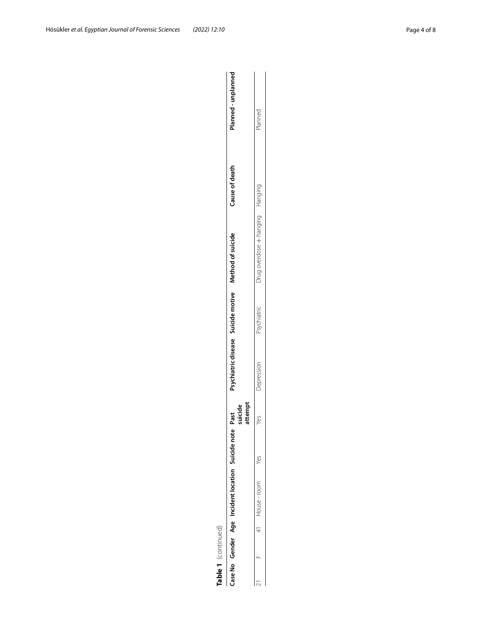|                    | Planned - unplanned<br>Cause of death<br>Psychiatric disease Suicide motive Method of suicide<br>attempt<br>suicide<br>Past<br>یه | Planned<br>Drug overdose + hanging<br>Hanging<br>Psychiatric<br>Depression<br>Yes |
|--------------------|-----------------------------------------------------------------------------------------------------------------------------------|-----------------------------------------------------------------------------------|
|                    |                                                                                                                                   |                                                                                   |
|                    | Case No Gender Age Incident location Suicide not                                                                                  | $1$ House-room                                                                    |
|                    |                                                                                                                                   |                                                                                   |
| able 1 (continued) |                                                                                                                                   | J                                                                                 |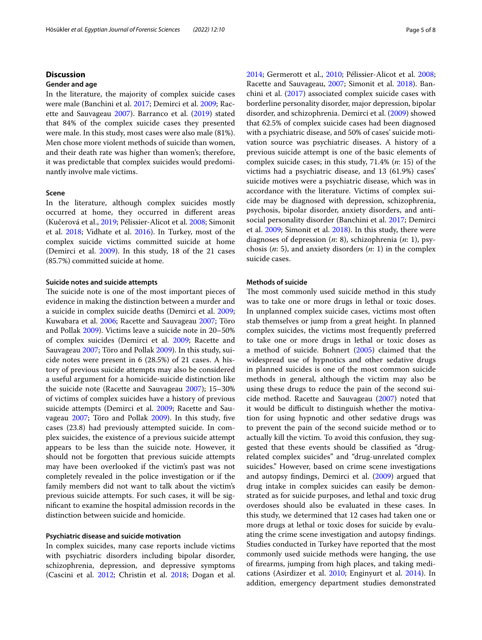## **Discussion**

#### **Gender and age**

In the literature, the majority of complex suicide cases were male (Banchini et al. [2017;](#page-6-2) Demirci et al. [2009](#page-6-1); Racette and Sauvageau [2007](#page-7-7)). Barranco et al. [\(2019](#page-6-8)) stated that 84% of the complex suicide cases they presented were male. In this study, most cases were also male (81%). Men chose more violent methods of suicide than women, and their death rate was higher than women's; therefore, it was predictable that complex suicides would predominantly involve male victims.

## **Scene**

In the literature, although complex suicides mostly occurred at home, they occurred in diferent areas (Kučerová et al., [2019](#page-7-5); Pélissier-Alicot et al. [2008;](#page-7-2) Simonit et al. [2018;](#page-7-0) Vidhate et al. [2016](#page-7-4)). In Turkey, most of the complex suicide victims committed suicide at home (Demirci et al. [2009](#page-6-1)). In this study, 18 of the 21 cases (85.7%) committed suicide at home.

## **Suicide notes and suicide attempts**

The suicide note is one of the most important pieces of evidence in making the distinction between a murder and a suicide in complex suicide deaths (Demirci et al. [2009](#page-6-1); Kuwabara et al. [2006](#page-7-10); Racette and Sauvageau [2007;](#page-7-7) Töro and Pollak [2009](#page-7-11)). Victims leave a suicide note in 20–50% of complex suicides (Demirci et al. [2009](#page-6-1); Racette and Sauvageau [2007;](#page-7-7) Töro and Pollak [2009\)](#page-7-11). In this study, suicide notes were present in 6 (28.5%) of 21 cases. A history of previous suicide attempts may also be considered a useful argument for a homicide-suicide distinction like the suicide note (Racette and Sauvageau [2007](#page-7-7)); 15–30% of victims of complex suicides have a history of previous suicide attempts (Demirci et al. [2009](#page-6-1); Racette and Sauvageau [2007;](#page-7-7) Töro and Pollak [2009\)](#page-7-11). In this study, fve cases (23.8) had previously attempted suicide. In complex suicides, the existence of a previous suicide attempt appears to be less than the suicide note. However, it should not be forgotten that previous suicide attempts may have been overlooked if the victim's past was not completely revealed in the police investigation or if the family members did not want to talk about the victim's previous suicide attempts. For such cases, it will be signifcant to examine the hospital admission records in the distinction between suicide and homicide.

#### **Psychiatric disease and suicide motivation**

In complex suicides, many case reports include victims with psychiatric disorders including bipolar disorder, schizophrenia, depression, and depressive symptoms (Cascini et al. [2012](#page-6-6); Christin et al. [2018;](#page-6-0) Dogan et al. [2014](#page-6-7); Germerott et al., [2010;](#page-7-1) Pélissier-Alicot et al. [2008](#page-7-2); Racette and Sauvageau, [2007](#page-7-7); Simonit et al. [2018](#page-7-0)). Banchini et al. ([2017\)](#page-6-2) associated complex suicide cases with borderline personality disorder, major depression, bipolar disorder, and schizophrenia. Demirci et al. [\(2009](#page-6-1)) showed that 62.5% of complex suicide cases had been diagnosed with a psychiatric disease, and 50% of cases' suicide motivation source was psychiatric diseases. A history of a previous suicide attempt is one of the basic elements of complex suicide cases; in this study, 71.4% (*n*: 15) of the victims had a psychiatric disease, and 13 (61.9%) cases' suicide motives were a psychiatric disease, which was in accordance with the literature. Victims of complex suicide may be diagnosed with depression, schizophrenia, psychosis, bipolar disorder, anxiety disorders, and antisocial personality disorder (Banchini et al. [2017](#page-6-2); Demirci et al. [2009](#page-6-1); Simonit et al. [2018](#page-7-0)). In this study, there were diagnoses of depression (*n*: 8), schizophrenia (*n*: 1), psychosis (*n*: 5), and anxiety disorders (*n*: 1) in the complex suicide cases.

## **Methods of suicide**

The most commonly used suicide method in this study was to take one or more drugs in lethal or toxic doses. In unplanned complex suicide cases, victims most often stab themselves or jump from a great height. In planned complex suicides, the victims most frequently preferred to take one or more drugs in lethal or toxic doses as a method of suicide. Bohnert [\(2005\)](#page-6-10) claimed that the widespread use of hypnotics and other sedative drugs in planned suicides is one of the most common suicide methods in general, although the victim may also be using these drugs to reduce the pain of the second suicide method. Racette and Sauvageau ([2007](#page-7-7)) noted that it would be difficult to distinguish whether the motivation for using hypnotic and other sedative drugs was to prevent the pain of the second suicide method or to actually kill the victim. To avoid this confusion, they suggested that these events should be classifed as "drugrelated complex suicides" and "drug-unrelated complex suicides." However, based on crime scene investigations and autopsy fndings, Demirci et al. ([2009](#page-6-1)) argued that drug intake in complex suicides can easily be demonstrated as for suicide purposes, and lethal and toxic drug overdoses should also be evaluated in these cases. In this study, we determined that 12 cases had taken one or more drugs at lethal or toxic doses for suicide by evaluating the crime scene investigation and autopsy fndings. Studies conducted in Turkey have reported that the most commonly used suicide methods were hanging, the use of frearms, jumping from high places, and taking medications (Asirdizer et al. [2010](#page-6-11); Enginyurt et al. [2014\)](#page-7-12). In addition, emergency department studies demonstrated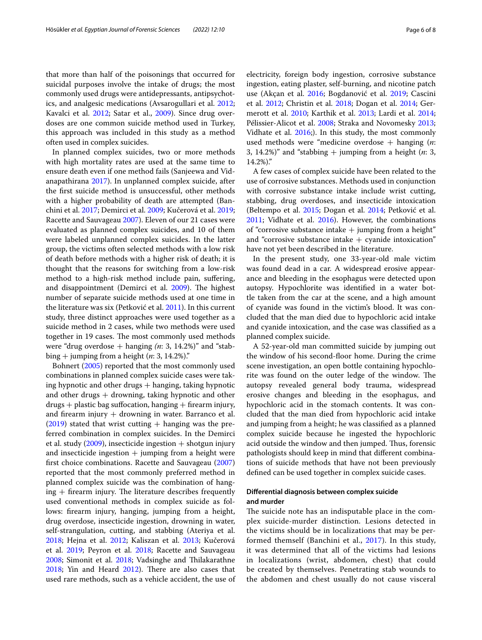that more than half of the poisonings that occurred for suicidal purposes involve the intake of drugs; the most commonly used drugs were antidepressants, antipsychotics, and analgesic medications (Avsarogullari et al. [2012](#page-6-12); Kavalci et al. [2012](#page-7-13); Satar et al., [2009\)](#page-7-14). Since drug overdoses are one common suicide method used in Turkey, this approach was included in this study as a method often used in complex suicides.

In planned complex suicides, two or more methods with high mortality rates are used at the same time to ensure death even if one method fails (Sanjeewa and Vidanapathirana [2017\)](#page-7-15). In unplanned complex suicide, after the frst suicide method is unsuccessful, other methods with a higher probability of death are attempted (Banchini et al. [2017;](#page-6-2) Demirci et al. [2009;](#page-6-1) Kučerová et al. [2019](#page-7-5); Racette and Sauvageau [2007](#page-7-7)). Eleven of our 21 cases were evaluated as planned complex suicides, and 10 of them were labeled unplanned complex suicides. In the latter group, the victims often selected methods with a low risk of death before methods with a higher risk of death; it is thought that the reasons for switching from a low-risk method to a high-risk method include pain, sufering, and disappointment (Demirci et al. [2009](#page-6-1)). The highest number of separate suicide methods used at one time in the literature was six (Petković et al. [2011](#page-7-6)). In this current study, three distinct approaches were used together as a suicide method in 2 cases, while two methods were used together in 19 cases. The most commonly used methods were "drug overdose  $+$  hanging  $(n: 3, 14.2\%)$ " and "stabbing + jumping from a height (*n*: 3, 14.2%)."

Bohnert [\(2005\)](#page-6-10) reported that the most commonly used combinations in planned complex suicide cases were taking hypnotic and other drugs  $+$  hanging, taking hypnotic and other drugs  $+$  drowning, taking hypnotic and other  $drugs + plastic bagsuffocation, hanging + firearm injury,$ and firearm injury  $+$  drowning in water. Barranco et al.  $(2019)$  $(2019)$  stated that wrist cutting  $+$  hanging was the preferred combination in complex suicides. In the Demirci et al. study  $(2009)$  $(2009)$ , insecticide ingestion  $+$  shotgun injury and insecticide ingestion  $+$  jumping from a height were frst choice combinations. Racette and Sauvageau ([2007](#page-7-7)) reported that the most commonly preferred method in planned complex suicide was the combination of hang $ing + firearm$  injury. The literature describes frequently used conventional methods in complex suicide as follows: frearm injury, hanging, jumping from a height, drug overdose, insecticide ingestion, drowning in water, self-strangulation, cutting, and stabbing (Ateriya et al. [2018](#page-6-3); Hejna et al. [2012;](#page-7-16) Kaliszan et al. [2013;](#page-7-17) Kučerová et al. [2019](#page-7-5); Peyron et al. [2018](#page-7-18); Racette and Sauvageau [2008](#page-7-19); Simonit et al. [2018;](#page-7-0) Vadsinghe and Thilakarathne [2018](#page-7-8); Yin and Heard [2012\)](#page-7-20). There are also cases that used rare methods, such as a vehicle accident, the use of electricity, foreign body ingestion, corrosive substance ingestion, eating plaster, self-burning, and nicotine patch use (Akçan et al. [2016;](#page-6-4) Bogdanović et al. [2019](#page-6-5); Cascini et al. [2012](#page-6-6); Christin et al. [2018](#page-6-0); Dogan et al. [2014;](#page-6-7) Germerott et al. [2010](#page-7-1); Karthik et al. [2013](#page-7-21); Lardi et al. [2014](#page-7-22); Pélissier-Alicot et al. [2008](#page-7-2); Straka and Novomesky [2013](#page-7-3); Vidhate et al. [2016](#page-7-4);). In this study, the most commonly used methods were "medicine overdose + hanging (*n*: 3, 14.2%)" and "stabbing  $+$  jumping from a height (*n*: 3, 14.2%)."

A few cases of complex suicide have been related to the use of corrosive substances. Methods used in conjunction with corrosive substance intake include wrist cutting, stabbing, drug overdoses, and insecticide intoxication (Beltempo et al. [2015](#page-6-13); Dogan et al. [2014](#page-6-7); Petković et al. [2011](#page-7-6); Vidhate et al. [2016\)](#page-7-4). However, the combinations of "corrosive substance intake  $+$  jumping from a height" and "corrosive substance intake  $+$  cyanide intoxication" have not yet been described in the literature.

In the present study, one 33-year-old male victim was found dead in a car. A widespread erosive appearance and bleeding in the esophagus were detected upon autopsy. Hypochlorite was identifed in a water bottle taken from the car at the scene, and a high amount of cyanide was found in the victim's blood. It was concluded that the man died due to hypochloric acid intake and cyanide intoxication, and the case was classifed as a planned complex suicide.

A 52-year-old man committed suicide by jumping out the window of his second-foor home. During the crime scene investigation, an open bottle containing hypochlorite was found on the outer ledge of the window. The autopsy revealed general body trauma, widespread erosive changes and bleeding in the esophagus, and hypochloric acid in the stomach contents. It was concluded that the man died from hypochloric acid intake and jumping from a height; he was classifed as a planned complex suicide because he ingested the hypochloric acid outside the window and then jumped. Thus, forensic pathologists should keep in mind that diferent combinations of suicide methods that have not been previously defned can be used together in complex suicide cases.

## **Diferential diagnosis between complex suicide and murder**

The suicide note has an indisputable place in the complex suicide-murder distinction. Lesions detected in the victims should be in localizations that may be performed themself (Banchini et al., [2017](#page-6-2)). In this study, it was determined that all of the victims had lesions in localizations (wrist, abdomen, chest) that could be created by themselves. Penetrating stab wounds to the abdomen and chest usually do not cause visceral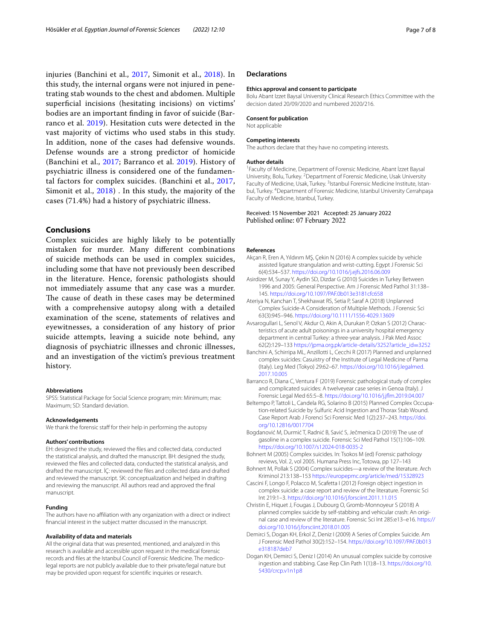injuries (Banchini et al., [2017](#page-6-2), Simonit et al., [2018\)](#page-7-0). In this study, the internal organs were not injured in penetrating stab wounds to the chest and abdomen. Multiple superficial incisions (hesitating incisions) on victims' bodies are an important fnding in favor of suicide (Barranco et al. [2019](#page-6-8)). Hesitation cuts were detected in the vast majority of victims who used stabs in this study. In addition, none of the cases had defensive wounds. Defense wounds are a strong predictor of homicide (Banchini et al., [2017](#page-6-2); Barranco et al. [2019\)](#page-6-8). History of psychiatric illness is considered one of the fundamental factors for complex suicides. (Banchini et al., [2017](#page-6-2), Simonit et al., [2018\)](#page-7-0) . In this study, the majority of the cases (71.4%) had a history of psychiatric illness.

## **Conclusions**

Complex suicides are highly likely to be potentially mistaken for murder. Many diferent combinations of suicide methods can be used in complex suicides, including some that have not previously been described in the literature. Hence, forensic pathologists should not immediately assume that any case was a murder. The cause of death in these cases may be determined with a comprehensive autopsy along with a detailed examination of the scene, statements of relatives and eyewitnesses, a consideration of any history of prior suicide attempts, leaving a suicide note behind, any diagnosis of psychiatric illnesses and chronic illnesses, and an investigation of the victim's previous treatment history.

#### **Abbreviations**

SPSS: Statistical Package for Social Science program; min: Minimum; max: Maximum; SD: Standard deviation.

#### **Acknowledgements**

We thank the forensic staff for their help in performing the autopsy

#### **Authors' contributions**

EH: designed the study, reviewed the fles and collected data, conducted the statistical analysis, and drafted the manuscript. BH: designed the study, reviewed the fles and collected data, conducted the statistical analysis, and drafted the manuscript. İÇ: reviewed the fles and collected data and drafted and reviewed the manuscript. SK: conceptualization and helped in drafting and reviewing the manuscript. All authors read and approved the fnal manuscript.

#### **Funding**

The authors have no affiliation with any organization with a direct or indirect fnancial interest in the subject matter discussed in the manuscript.

#### **Availability of data and materials**

All the original data that was presented, mentioned, and analyzed in this research is available and accessible upon request in the medical forensic records and fles at the Istanbul Council of Forensic Medicine. The medicolegal reports are not publicly available due to their private/legal nature but may be provided upon request for scientifc inquiries or research.

#### **Declarations**

#### **Ethics approval and consent to participate**

Bolu Abant Izzet Baysal University Clinical Research Ethics Committee with the decision dated 20/09/2020 and numbered 2020/216.

#### **Consent for publication**

Not applicable

#### **Competing interests**

The authors declare that they have no competing interests.

#### **Author details**

<sup>1</sup> Faculty of Medicine, Department of Forensic Medicine, Abant İzzet Baysal University, Bolu, Turkey. <sup>2</sup> Department of Forensic Medicine, Usak University Faculty of Medicine, Usak, Turkey. <sup>3</sup>Istanbul Forensic Medicine Institute, Istanbul, Turkey. 4 Department of Forensic Medicine, Istanbul University Cerrahpaşa Faculty of Medicine, Istanbul, Turkey.

#### Received: 15 November 2021 Accepted: 25 January 2022 Published online: 07 February 2022

#### **References**

- <span id="page-6-4"></span>Akçan R, Eren A, Yıldırım MŞ, Çekin N (2016) A complex suicide by vehicle assisted ligature strangulation and wrist-cutting. Egypt J Forensic Sci 6(4):534–537. <https://doi.org/10.1016/j.ejfs.2016.06.009>
- <span id="page-6-11"></span>Asirdizer M, Sunay Y, Aydin SD, Dizdar G (2010) Suicides in Turkey Between 1996 and 2005: General Perspective. Am J Forensic Med Pathol 31:138– 145. <https://doi.org/10.1097/PAF.0b013e3181cfc658>
- <span id="page-6-3"></span>Ateriya N, Kanchan T, Shekhawat RS, Setia P, Saraf A (2018) Unplanned Complex Suicide-A Consideration of Multiple Methods. J Forensic Sci 63(3):945–946. <https://doi.org/10.1111/1556-4029.13609>
- <span id="page-6-12"></span>Avsarogullari L, Senol V, Akdur O, Akin A, Durukan P, Ozkan S (2012) Characteristics of acute adult poisonings in a university hospital emergency department in central Turkey: a three-year analysis. J Pak Med Assoc 62(2):129–133 [https://jpma.org.pk/article-details/3252?article\\_id](https://jpma.org.pk/article-details/3252?article_id=3252)=3252
- <span id="page-6-2"></span>Banchini A, Schirripa ML, Anzillotti L, Cecchi R (2017) Planned and unplanned complex suicides: Casuistry of the Institute of Legal Medicine of Parma (Italy). Leg Med (Tokyo) 29:62–67. [https://doi.org/10.1016/j.legalmed.](https://doi.org/10.1016/j.legalmed.2017.10.005) [2017.10.005](https://doi.org/10.1016/j.legalmed.2017.10.005)
- <span id="page-6-8"></span>Barranco R, Diana C, Ventura F (2019) Forensic pathological study of complex and complicated suicides: A twelveyear case series in Genoa (Italy). J Forensic Legal Med 65:5–8. [https://doi.org/10.1016/j.jfm.2019.04.007](https://doi.org/10.1016/j.jflm.2019.04.007)
- <span id="page-6-13"></span>Beltempo P, Tattoli L, Candela RG, Solarino B (2015) Planned Complex Occupation-related Suicide by Sulfuric Acid Ingestion and Thorax Stab Wound. Case Report Arab J Forenci Sci Forensic Med 1(2):237–243. [https://doi.](https://doi.org/10.12816/0017704) [org/10.12816/0017704](https://doi.org/10.12816/0017704)
- <span id="page-6-5"></span>Bogdanović M, Durmić T, Radnić B, Savić S, Ječmenica D (2019) The use of gasoline in a complex suicide. Forensic Sci Med Pathol 15(1):106–109. <https://doi.org/10.1007/s12024-018-0035-2>
- <span id="page-6-10"></span>Bohnert M (2005) Complex suicides. In: Tsokos M (ed) Forensic pathology reviews, Vol. 2, vol 2005. Humana Press Inc, Totowa, pp 127–143
- <span id="page-6-9"></span>Bohnert M, Pollak S (2004) Complex suicides—a review of the literature. Arch Kriminol 213:138–153 <https://europepmc.org/article/med/15328923>
- <span id="page-6-6"></span>Cascini F, Longo F, Polacco M, Scafetta I (2012) Foreign object ingestion in complex suicide: a case report and review of the literature. Forensic Sci Int 219:1–3. <https://doi.org/10.1016/j.forsciint.2011.11.015>
- <span id="page-6-0"></span>Christin E, Hiquet J, Fougas J, Dubourg O, Gromb-Monnoyeur S (2018) A planned complex suicide by self-stabbing and vehicular crash: An original case and review of the literature. Forensic Sci Int 285:e13–e16. [https://](https://doi.org/10.1016/j.forsciint.2018.01.005) [doi.org/10.1016/j.forsciint.2018.01.005](https://doi.org/10.1016/j.forsciint.2018.01.005)
- <span id="page-6-1"></span>Demirci S, Dogan KH, Erkol Z, Deniz I (2009) A Series of Complex Suicide. Am J Forensic Med Pathol 30(2):152–154. [https://doi.org/10.1097/PAF.0b013](https://doi.org/10.1097/PAF.0b013e318187deb7) [e318187deb7](https://doi.org/10.1097/PAF.0b013e318187deb7)
- <span id="page-6-7"></span>Dogan KH, Demirci S, Deniz I (2014) An unusual complex suicide by corrosive ingestion and stabbing. Case Rep Clin Path 1(1):8–13. [https://doi.org/10.](https://doi.org/10.5430/crcp.v1n1p8) [5430/crcp.v1n1p8](https://doi.org/10.5430/crcp.v1n1p8)